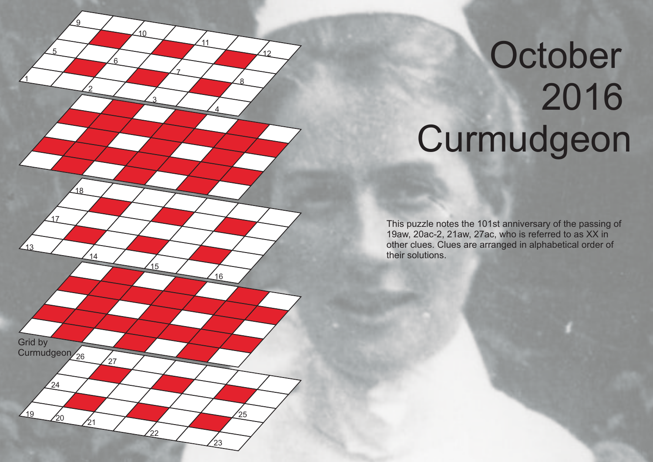

## October Curmudgeon

This puzzle notes the 101st anniversary of the passing of 19aw, 20ac-2, 21aw, 27ac, who is referred to as XX in other clues. Clues are arranged in alphabetical order of their solutions.